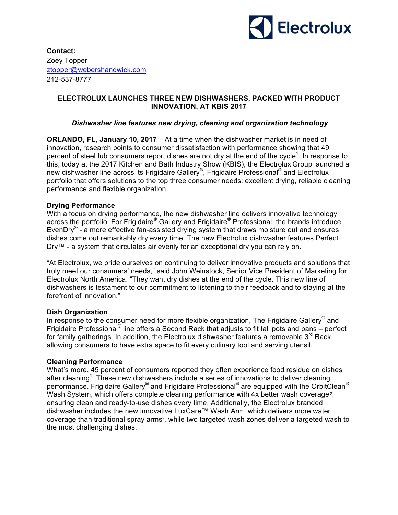

# **Contact:**  Zoey Topper ztopper@webershandwick.com 212-537-8777

## **ELECTROLUX LAUNCHES THREE NEW DISHWASHERS, PACKED WITH PRODUCT INNOVATION, AT KBIS 2017**

#### *Dishwasher line features new drying, cleaning and organization technology*

**ORLANDO, FL, January 10, 2017** – At a time when the dishwasher market is in need of innovation, research points to consumer dissatisfaction with performance showing that 49 percent of steel tub consumers report dishes are not dry at the end of the cycle<sup>1</sup>. In response to this, today at the 2017 Kitchen and Bath Industry Show (KBIS), the Electrolux Group launched a new dishwasher line across its Frigidaire Gallery<sup>®</sup>, Frigidaire Professional<sup>®</sup> and Electrolux portfolio that offers solutions to the top three consumer needs: excellent drying, reliable cleaning performance and flexible organization.

## **Drying Performance**

With a focus on drying performance, the new dishwasher line delivers innovative technology across the portfolio. For Frigidaire® Gallery and Frigidaire® Professional, the brands introduce EvenDry<sup>®</sup> - a more effective fan-assisted drying system that draws moisture out and ensures dishes come out remarkably dry every time. The new Electrolux dishwasher features Perfect Dry™ - a system that circulates air evenly for an exceptional dry you can rely on.

"At Electrolux, we pride ourselves on continuing to deliver innovative products and solutions that truly meet our consumers' needs," said John Weinstock, Senior Vice President of Marketing for Electrolux North America. "They want dry dishes at the end of the cycle. This new line of dishwashers is testament to our commitment to listening to their feedback and to staying at the forefront of innovation."

#### **Dish Organization**

In response to the consumer need for more flexible organization, The Frigidaire Gallery<sup>®</sup> and Frigidaire Professional<sup>®</sup> line offers a Second Rack that adjusts to fit tall pots and pans – perfect for family gatherings. In addition, the Electrolux dishwasher features a removable  $3<sup>rd</sup>$  Rack, allowing consumers to have extra space to fit every culinary tool and serving utensil.

#### **Cleaning Performance**

What's more, 45 percent of consumers reported they often experience food residue on dishes after cleaning<sup>1</sup>. These new dishwashers include a series of innovations to deliver cleaning performance. Frigidaire Gallery<sup>®</sup> and Frigidaire Professional<sup>®</sup> are equipped with the OrbitClean<sup>®</sup> Wash System, which offers complete cleaning performance with 4x better wash coverage<sup>2</sup>. ensuring clean and ready-to-use dishes every time. Additionally, the Electrolux branded dishwasher includes the new innovative LuxCare™ Wash Arm, which delivers more water coverage than traditional spray arms2, while two targeted wash zones deliver a targeted wash to the most challenging dishes.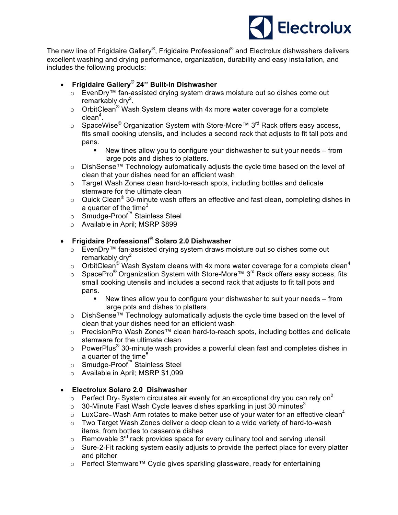

The new line of Frigidaire Gallery®, Frigidaire Professional® and Electrolux dishwashers delivers excellent washing and drying performance, organization, durability and easy installation, and includes the following products:

- **Frigidaire Gallery® 24'' Built-In Dishwasher** 
	- o EvenDry™ fan-assisted drying system draws moisture out so dishes come out remarkably dry<sup>2</sup>.
	- o OrbitClean<sup>®</sup> Wash System cleans with 4x more water coverage for a complete  $clean<sup>4</sup>$ .
	- o SpaceWise<sup>®</sup> Organization System with Store-More™ 3<sup>rd</sup> Rack offers easy access, fits small cooking utensils, and includes a second rack that adjusts to fit tall pots and pans.
		- New tines allow you to configure your dishwasher to suit your needs from large pots and dishes to platters.
	- o DishSense™ Technology automatically adjusts the cycle time based on the level of clean that your dishes need for an efficient wash
	- $\circ$  Target Wash Zones clean hard-to-reach spots, including bottles and delicate stemware for the ultimate clean
	- $\circ$  Quick Clean<sup>®</sup> 30-minute wash offers an effective and fast clean, completing dishes in a quarter of the time $3$
	- o Smudge-Proof**™** Stainless Steel
	- o Available in April; MSRP \$899

# • **Frigidaire Professional® Solaro 2.0 Dishwasher**

- o EvenDry™ fan-assisted drying system draws moisture out so dishes come out remarkably dry $2$
- $\circ$  OrbitClean<sup>®</sup> Wash System cleans with 4x more water coverage for a complete clean<sup>4</sup>
- o SpacePro<sup>®</sup> Organization System with Store-More™ 3<sup>rd</sup> Rack offers easy access, fits small cooking utensils and includes a second rack that adjusts to fit tall pots and pans.
	- New tines allow you to configure your dishwasher to suit your needs from large pots and dishes to platters.
- o DishSense™ Technology automatically adjusts the cycle time based on the level of clean that your dishes need for an efficient wash
- o PrecisionPro Wash Zones™ clean hard-to-reach spots, including bottles and delicate stemware for the ultimate clean
- $\circ$  PowerPlus<sup>®</sup> 30-minute wash provides a powerful clean fast and completes dishes in a quarter of the time<sup>5</sup>
- o Smudge-Proof**™** Stainless Steel
- o Available in April; MSRP \$1,099

# • **Electrolux Solaro 2.0 Dishwasher**

- Perfect Dry<sup>™</sup> System circulates air evenly for an exceptional dry you can rely on<sup>2</sup>
- $\circ$  30-Minute Fast Wash Cycle leaves dishes sparkling in just 30 minutes<sup>3</sup>
- LuxCare<sup>™</sup> Wash Arm rotates to make better use of your water for an effective clean<sup>4</sup>
- $\circ$  Two Target Wash Zones deliver a deep clean to a wide variety of hard-to-wash items, from bottles to casserole dishes
- $\circ$  Removable 3<sup>rd</sup> rack provides space for every culinary tool and serving utensil
- o Sure-2-Fit racking system easily adjusts to provide the perfect place for every platter and pitcher
- o Perfect Stemware™ Cycle gives sparkling glassware, ready for entertaining